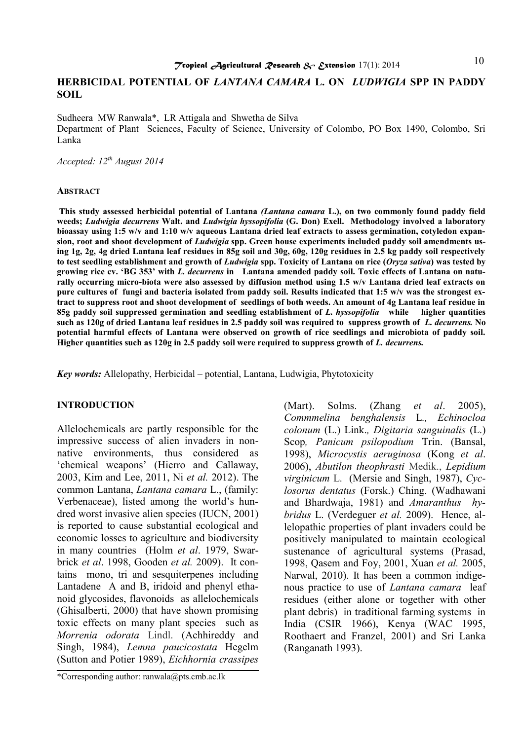# **HERBICIDAL POTENTIAL OF** *LANTANA CAMARA* **L. ON** *LUDWIGIA* **SPP IN PADDY SOIL**

Sudheera MW Ranwala\*, LR Attigala and Shwetha de Silva Department of Plant Sciences, Faculty of Science, University of Colombo, PO Box 1490, Colombo, Sri Lanka

*Accepted: 12th August 2014* 

#### **ABSTRACT**

**This study assessed herbicidal potential of Lantana** *(Lantana camara* **L.), on two commonly found paddy field weeds;** *Ludwigia decurrens* **Walt. and** *Ludwigia hyssopifolia* **(G. Don) Exell. Methodology involved a laboratory bioassay using 1:5 w/v and 1:10 w/v aqueous Lantana dried leaf extracts to assess germination, cotyledon expansion, root and shoot development of** *Ludwigia* **spp. Green house experiments included paddy soil amendments using 1g, 2g, 4g dried Lantana leaf residues in 85g soil and 30g, 60g, 120g residues in 2.5 kg paddy soil respectively to test seedling establishment and growth of** *Ludwigia* **spp. Toxicity of Lantana on rice (***Oryza sativa***) was tested by growing rice cv. 'BG 353' with** *L. decurrens* **in Lantana amended paddy soil. Toxic effects of Lantana on naturally occurring micro-biota were also assessed by diffusion method using 1.5 w/v Lantana dried leaf extracts on pure cultures of fungi and bacteria isolated from paddy soil. Results indicated that 1:5 w/v was the strongest extract to suppress root and shoot development of seedlings of both weeds. An amount of 4g Lantana leaf residue in 85g paddy soil suppressed germination and seedling establishment of** *L. hyssopifolia* **while higher quantities such as 120g of dried Lantana leaf residues in 2.5 paddy soil was required to suppress growth of** *L. decurrens.* **No potential harmful effects of Lantana were observed on growth of rice seedlings and microbiota of paddy soil. Higher quantities such as 120g in 2.5 paddy soil were required to suppress growth of** *L. decurrens.*

*Key words:* Allelopathy, Herbicidal – potential, Lantana, Ludwigia, Phytotoxicity

#### **INTRODUCTION**

Allelochemicals are partly responsible for the impressive success of alien invaders in nonnative environments, thus considered as 'chemical weapons' (Hierro and Callaway, 2003, Kim and Lee, 2011, Ni *et al.* 2012). The common Lantana, *Lantana camara* L., (family: Verbenaceae), listed among the world's hundred worst invasive alien species (IUCN, 2001) is reported to cause substantial ecological and economic losses to agriculture and biodiversity in many countries (Holm *et al*. 1979, Swarbrick *et al*. 1998, Gooden *et al.* 2009). It contains mono, tri and sesquiterpenes including Lantadene A and B, iridoid and phenyl ethanoid glycosides, flavonoids as allelochemicals (Ghisalberti, 2000) that have shown promising toxic effects on many plant species such as *Morrenia odorata* Lindl. (Achhireddy and Singh, 1984), *Lemna paucicostata* Hegelm (Sutton and Potier 1989), *Eichhornia crassipes*

(Mart). Solms. (Zhang *et al*. 2005), *Commmelina benghalensis* L*., Echinocloa colonum* (L.) Link.*, Digitaria sanguinalis* (L.) Scop*, Panicum psilopodium* Trin. (Bansal, 1998), *Microcystis aeruginosa* (Kong *et al*. 2006), *Abutilon theophrasti* Medik., *Lepidium virginicum* L. (Mersie and Singh, 1987), *Cyclosorus dentatus* (Forsk.) Ching. (Wadhawani and Bhardwaja, 1981) and *Amaranthus hybridus* L. (Verdeguer *et al.* 2009). Hence, allelopathic properties of plant invaders could be positively manipulated to maintain ecological sustenance of agricultural systems (Prasad, 1998, Qasem and Foy, 2001, Xuan *et al.* 2005, Narwal, 2010). It has been a common indigenous practice to use of *Lantana camara* leaf residues (either alone or together with other plant debris) in traditional farming systems in India (CSIR 1966), Kenya (WAC 1995, Roothaert and Franzel, 2001) and Sri Lanka (Ranganath 1993).

<sup>\*</sup>Corresponding author: [ranwala@pts.cmb.ac.lk](mailto:ranwala@pts.cmb.ac.lk)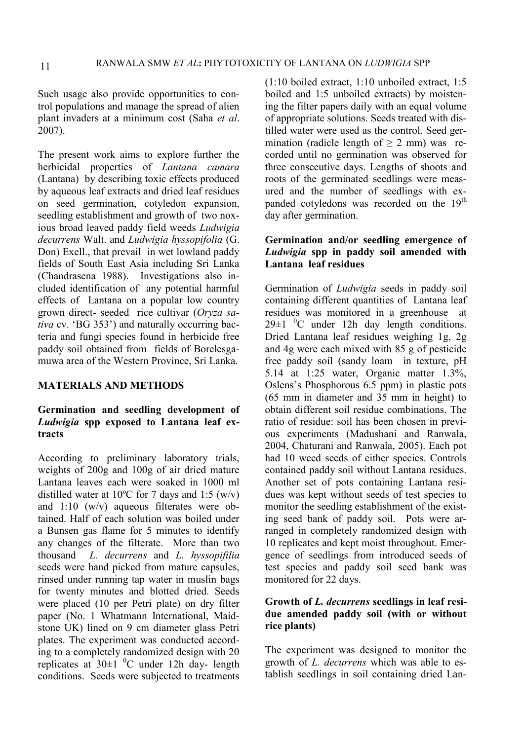Such usage also provide opportunities to control populations and manage the spread of alien plant invaders at a minimum cost (Saha *et al*. 2007).

The present work aims to explore further the herbicidal properties of *Lantana camara*  (Lantana) by describing toxic effects produced by aqueous leaf extracts and dried leaf residues on seed germination, cotyledon expansion, seedling establishment and growth of two noxious broad leaved paddy field weeds *Ludwigia decurrens* Walt. and *Ludwigia hyssopifolia* (G. Don) Exell., that prevail in wet lowland paddy fields of South East Asia including Sri Lanka (Chandrasena 1988). Investigations also included identification of any potential harmful effects of Lantana on a popular low country grown direct- seeded rice cultivar (*Oryza sativa* cv. 'BG 353') and naturally occurring bacteria and fungi species found in herbicide free paddy soil obtained from fields of Borelesgamuwa area of the Western Province, Sri Lanka.

#### **MATERIALS AND METHODS**

# **Germination and seedling development of**  *Ludwigia* **spp exposed to Lantana leaf extracts**

According to preliminary laboratory trials, weights of 200g and 100g of air dried mature Lantana leaves each were soaked in 1000 ml distilled water at 10<sup>o</sup>C for 7 days and 1:5 (w/v) and 1:10 (w/v) aqueous filterates were obtained. Half of each solution was boiled under a Bunsen gas flame for 5 minutes to identify any changes of the filterate. More than two thousand *L. decurrens* and *L. hyssopifilia*  seeds were hand picked from mature capsules, rinsed under running tap water in muslin bags for twenty minutes and blotted dried. Seeds were placed (10 per Petri plate) on dry filter paper (No. 1 Whatmann International, Maidstone UK) lined on 9 cm diameter glass Petri plates. The experiment was conducted according to a completely randomized design with 20 replicates at  $30\pm1$  <sup>0</sup>C under 12h day- length conditions. Seeds were subjected to treatments

(1:10 boiled extract, 1:10 unboiled extract, 1:5 boiled and 1:5 unboiled extracts) by moistening the filter papers daily with an equal volume of appropriate solutions. Seeds treated with distilled water were used as the control. Seed germination (radicle length of  $\geq 2$  mm) was recorded until no germination was observed for three consecutive days. Lengths of shoots and roots of the germinated seedlings were measured and the number of seedlings with expanded cotyledons was recorded on the 19<sup>th</sup> day after germination.

# **Germination and/or seedling emergence of**  *Ludwigia* **spp in paddy soil amended with Lantana leaf residues**

Germination of *Ludwigia* seeds in paddy soil containing different quantities of Lantana leaf residues was monitored in a greenhouse at  $29\pm1$  <sup>0</sup>C under 12h day length conditions. Dried Lantana leaf residues weighing 1g, 2g and 4g were each mixed with 85 g of pesticide free paddy soil (sandy loam in texture, pH 5.14 at 1:25 water, Organic matter 1.3%, Oslens's Phosphorous 6.5 ppm) in plastic pots (65 mm in diameter and 35 mm in height) to obtain different soil residue combinations. The ratio of residue: soil has been chosen in previous experiments (Madushani and Ranwala, 2004, Chaturani and Ranwala, 2005). Each pot had 10 weed seeds of either species. Controls contained paddy soil without Lantana residues. Another set of pots containing Lantana residues was kept without seeds of test species to monitor the seedling establishment of the existing seed bank of paddy soil. Pots were arranged in completely randomized design with 10 replicates and kept moist throughout. Emergence of seedlings from introduced seeds of test species and paddy soil seed bank was monitored for 22 days.

## **Growth of** *L. decurrens* **seedlings in leaf residue amended paddy soil (with or without rice plants)**

The experiment was designed to monitor the growth of *L. decurrens* which was able to establish seedlings in soil containing dried Lan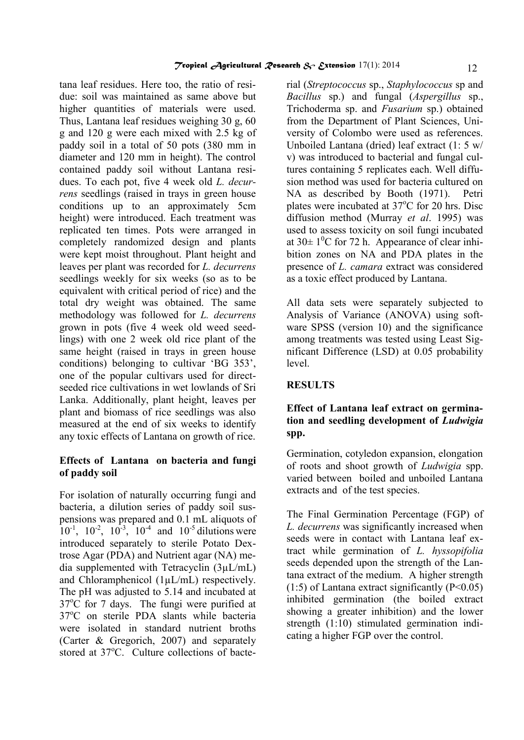tana leaf residues. Here too, the ratio of residue: soil was maintained as same above but higher quantities of materials were used. Thus, Lantana leaf residues weighing 30 g, 60 g and 120 g were each mixed with 2.5 kg of paddy soil in a total of 50 pots (380 mm in diameter and 120 mm in height). The control contained paddy soil without Lantana residues. To each pot, five 4 week old *L. decurrens* seedlings (raised in trays in green house conditions up to an approximately 5cm height) were introduced. Each treatment was replicated ten times. Pots were arranged in completely randomized design and plants were kept moist throughout. Plant height and leaves per plant was recorded for *L. decurrens* seedlings weekly for six weeks (so as to be equivalent with critical period of rice) and the total dry weight was obtained. The same methodology was followed for *L. decurrens* grown in pots (five 4 week old weed seedlings) with one 2 week old rice plant of the same height (raised in trays in green house conditions) belonging to cultivar 'BG 353', one of the popular cultivars used for directseeded rice cultivations in wet lowlands of Sri Lanka. Additionally, plant height, leaves per plant and biomass of rice seedlings was also measured at the end of six weeks to identify any toxic effects of Lantana on growth of rice.

# **Effects of Lantana on bacteria and fungi of paddy soil**

For isolation of naturally occurring fungi and bacteria, a dilution series of paddy soil suspensions was prepared and 0.1 mL aliquots of  $10^{-1}$ ,  $10^{-2}$ ,  $10^{-3}$ ,  $10^{-4}$  and  $10^{-5}$  dilutions were introduced separately to sterile Potato Dextrose Agar (PDA) and Nutrient agar (NA) media supplemented with Tetracyclin (3µL/mL) and Chloramphenicol (1µL/mL) respectively. The pH was adjusted to 5.14 and incubated at  $37^{\circ}$ C for 7 days. The fungi were purified at 37°C on sterile PDA slants while bacteria were isolated in standard nutrient broths (Carter & Gregorich, 2007) and separately stored at  $37^{\circ}$ C. Culture collections of bacterial (*Streptococcus* sp., *Staphylococcus* sp and *Bacillus* sp.) and fungal (*Aspergillus* sp., Trichoderma sp. and *Fusarium* sp.) obtained from the Department of Plant Sciences, University of Colombo were used as references. Unboiled Lantana (dried) leaf extract (1: 5 w/ v) was introduced to bacterial and fungal cultures containing 5 replicates each. Well diffusion method was used for bacteria cultured on NA as described by Booth (1971). Petri plates were incubated at  $37^{\circ}$ C for 20 hrs. Disc diffusion method (Murray *et al*. 1995) was used to assess toxicity on soil fungi incubated at  $30\pm 1^0C$  for 72 h. Appearance of clear inhibition zones on NA and PDA plates in the presence of *L. camara* extract was considered as a toxic effect produced by Lantana.

All data sets were separately subjected to Analysis of Variance (ANOVA) using software SPSS (version 10) and the significance among treatments was tested using Least Significant Difference (LSD) at 0.05 probability level.

# **RESULTS**

# **Effect of Lantana leaf extract on germination and seedling development of** *Ludwigia* **spp.**

Germination, cotyledon expansion, elongation of roots and shoot growth of *Ludwigia* spp. varied between boiled and unboiled Lantana extracts and of the test species.

The Final Germination Percentage (FGP) of *L. decurrens* was significantly increased when seeds were in contact with Lantana leaf extract while germination of *L. hyssopifolia* seeds depended upon the strength of the Lantana extract of the medium. A higher strength  $(1:5)$  of Lantana extract significantly  $(P<0.05)$ inhibited germination (the boiled extract showing a greater inhibition) and the lower strength (1:10) stimulated germination indicating a higher FGP over the control.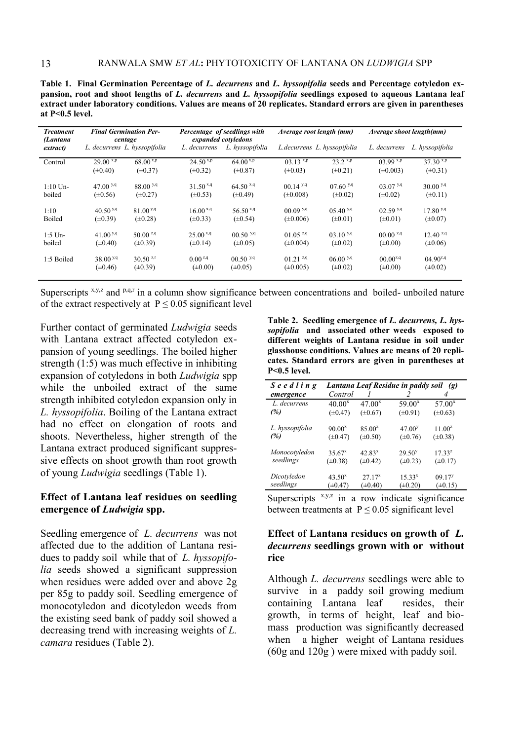**Table 1. Final Germination Percentage of** *L. decurrens* **and** *L. hyssopifolia* **seeds and Percentage cotyledon expansion, root and shoot lengths of** *L. decurrens* **and** *L. hyssopifolia* **seedlings exposed to aqueous Lantana leaf extract under laboratory conditions. Values are means of 20 replicates. Standard errors are given in parentheses at P<0.5 level.** 

| <b>Treatment</b><br>(Lantana | <b>Final Germination Per-</b><br>centage |                      | Percentage of seedlings with<br>expanded cotyledons |                        | Average root length (mm) |                              | Average shoot length(mm) |                       |
|------------------------------|------------------------------------------|----------------------|-----------------------------------------------------|------------------------|--------------------------|------------------------------|--------------------------|-----------------------|
| extract)                     | L. decurrens L. hyssopifolia             |                      | L. decurrens                                        | L. hyssopifolia        |                          | L. decurrens L. hyssopifolia | L. decurrens             | L. hyssopifolia       |
| Control                      | $29.00^{ x,p}$                           | $68.00^{ x,p}$       | $24.50^{x,p}$                                       | 64.00 $^{x,p}$         | $03.13^{ x,p}$           | 23.2 x.p                     | 03.99 x,p                | $37.30 \times P$      |
|                              | $(\pm 0.40)$                             | $(\pm 0.37)$         | $(\pm 0.32)$                                        | $(\pm 0.87)$           | $(\pm 0.03)$             | $(\pm 0.21)$                 | $(\pm 0.003)$            | $(\pm 0.31)$          |
| $1:10$ Un-                   | $47.00^{y,q}$                            | 88.00 <sup>y,q</sup> | $31.50^{x,q}$                                       | $64.50$ <sup>x,q</sup> | $00.14$ <sup>y,q</sup>   | 07.60 <sup>9, q</sup>        | 03.07 <sup> y,q</sup>    | 30.00 <sup>9, q</sup> |
| boiled                       | $(\pm 0.56)$                             | $(\pm 0.27)$         | $(\pm 0.53)$                                        | $(\pm 0.49)$           | $(\pm 0.008)$            | $(\pm 0.02)$                 | $(\pm 0.02)$             | $(\pm 0.11)$          |
| 1:10                         | 40.50 <sup>y,q</sup>                     | 81.00 <sup>y,q</sup> | $16.00^{x,q}$                                       | $56.50$ <sup>x,q</sup> | 00.09 <sup> y,q</sup>    | 05.40 <sup>y,q</sup>         | 02.59 <sup> y,q</sup>    | 17.80 <sup>y,q</sup>  |
| <b>Boiled</b>                | $(\pm 0.39)$                             | $(\pm 0.28)$         | $(\pm 0.33)$                                        | $(\pm 0.54)$           | $(\pm 0.006)$            | $(\pm 0.01)$                 | $(\pm 0.01)$             | $(\pm 0.07)$          |
| $1:5$ Un-                    | 41.00 $^{y,q}$                           | 50.00 $2.9$          | $25.00^{x,q}$                                       | $00.50$ <sup>y,q</sup> | $01.05$ <sup>z,q</sup>   | 03.10 <sup>y,q</sup>         | $00.00^{2, q}$           | $12.40^{2,9}$         |
| boiled                       | $(\pm 0.40)$                             | $(\pm 0.39)$         | $(\pm 0.14)$                                        | $(\pm 0.05)$           | $(\pm 0.004)$            | $(\pm 0.02)$                 | $(\pm 0.00)$             | $(\pm 0.06)$          |
| 1:5 Boiled                   | 38.00 <sup>y,q</sup>                     | $30.50^{2,r}$        | $0.00^{2,q}$                                        | $00.50$ <sup>y,q</sup> | $01.21^{z,q}$            | $0600^{y,q}$                 | $00.00^{2, q}$           | $04.90^{2,9}$         |
|                              | $(\pm 0.46)$                             | $(\pm 0.39)$         | $(\pm 0.00)$                                        | $(\pm 0.05)$           | $(\pm 0.005)$            | $(\pm 0.02)$                 | $(\pm 0.00)$             | $(\pm 0.02)$          |

Superscripts  $x,y,z$  and  $p,q,r$  in a column show significance between concentrations and boiled- unboiled nature of the extract respectively at  $P \le 0.05$  significant level

Further contact of germinated *Ludwigia* seeds with Lantana extract affected cotyledon expansion of young seedlings. The boiled higher strength (1:5) was much effective in inhibiting expansion of cotyledons in both *Ludwigia* spp while the unboiled extract of the same strength inhibited cotyledon expansion only in *L. hyssopifolia*. Boiling of the Lantana extract had no effect on elongation of roots and shoots. Nevertheless, higher strength of the Lantana extract produced significant suppressive effects on shoot growth than root growth of young *Ludwigia* seedlings (Table 1).

### **Effect of Lantana leaf residues on seedling emergence of** *Ludwigia* **spp.**

Seedling emergence of *L. decurrens* was not affected due to the addition of Lantana residues to paddy soil while that of *L. hyssopifolia* seeds showed a significant suppression when residues were added over and above 2g per 85g to paddy soil. Seedling emergence of monocotyledon and dicotyledon weeds from the existing seed bank of paddy soil showed a decreasing trend with increasing weights of *L. camara* residues (Table 2).

**Table 2. Seedling emergence of** *L. decurrens, L. hyssopifolia* **and associated other weeds exposed to different weights of Lantana residue in soil under glasshouse conditions. Values are means of 20 replicates. Standard errors are given in parentheses at P<0.5 level.** 

| Seedling                   |                                    |                             | Lantana Leaf Residue in paddy soil (g) |                                    |
|----------------------------|------------------------------------|-----------------------------|----------------------------------------|------------------------------------|
| emergence                  | Control                            |                             |                                        |                                    |
| L. decurrens               | $40.00^x$                          | $47.00^x$                   | $59.00^x$                              | $57.00^x$                          |
| (%)                        | $(\pm 0.47)$                       | $(\pm 0.67)$                | $(\pm 0.91)$                           | $(\pm 0.63)$                       |
| L. hyssopifolia<br>(%)     | $90.00^x$<br>$(\pm 0.47)$          | $85.00^x$<br>$(\pm 0.50)$   | 47.00 <sup>y</sup><br>$(\pm 0.76)$     | $11.00^z$<br>$(\pm 0.38)$          |
| Monocotyledon<br>seedlings | $35.67^x$<br>$(\pm 0.38)$          | $42.83^{x}$<br>$(\pm 0.42)$ | 29.50 <sup>y</sup><br>$(\pm 0.23)$     | $17.33^{z}$<br>$(\pm 0.17)$        |
| Dicotyledon<br>seedlings   | 43.50 <sup>x</sup><br>$(\pm 0.47)$ | $27.17^{x}$<br>$(\pm 0.40)$ | $15.33^{x}$<br>$(\pm 0.20)$            | 09.17 <sup>y</sup><br>$(\pm 0.15)$ |

Superscripts  $x,y,z$  in a row indicate significance between treatments at  $P \le 0.05$  significant level

### **Effect of Lantana residues on growth of** *L. decurrens* **seedlings grown with or without rice**

Although *L. decurrens* seedlings were able to survive in a paddy soil growing medium containing Lantana leaf resides, their growth, in terms of height, leaf and biomass production was significantly decreased when a higher weight of Lantana residues (60g and 120g ) were mixed with paddy soil.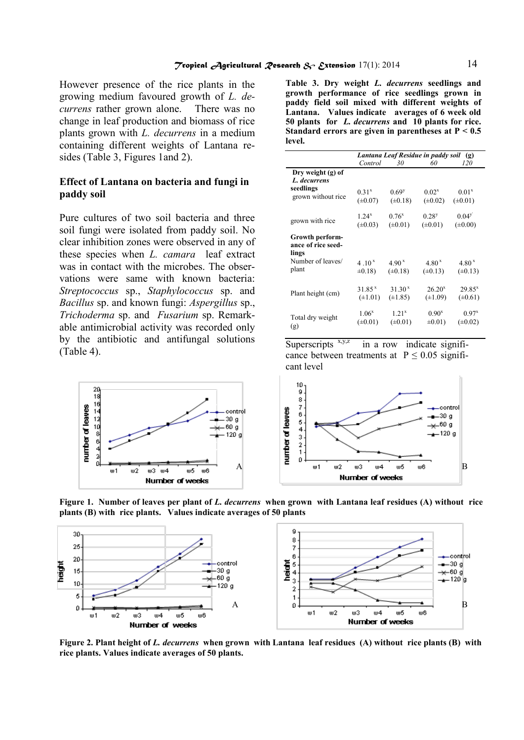However presence of the rice plants in the growing medium favoured growth of *L. decurrens* rather grown alone. There was no change in leaf production and biomass of rice plants grown with *L. decurrens* in a medium containing different weights of Lantana resides (Table 3, Figures 1and 2).

#### **Effect of Lantana on bacteria and fungi in paddy soil**

Pure cultures of two soil bacteria and three soil fungi were isolated from paddy soil. No clear inhibition zones were observed in any of these species when *L. camara* leaf extract was in contact with the microbes. The observations were same with known bacteria: *Streptococcus* sp., *Staphylococcus* sp. and *Bacillus* sp. and known fungi: *Aspergillus* sp., *Trichoderma* sp. and *Fusarium* sp. Remarkable antimicrobial activity was recorded only by the antibiotic and antifungal solutions (Table 4).

> 20 18 number of leaves control 12<br>10 .30 g .60 g  $-120g$  $\omega$  1  $w2$  $w3$   $w4$ w5 w6 Number of weeks

**Table 3. Dry weight** *L. decurrens* **seedlings and growth performance of rice seedlings grown in paddy field soil mixed with different weights of Lantana. Values indicate averages of 6 week old 50 plants for** *L. decurrens* **and 10 plants for rice. Standard errors are given in parentheses at P < 0.5 level.** 

|                                                                              | Lantana Leaf Residue in paddy soil<br>(g) |                                     |                                    |                                   |
|------------------------------------------------------------------------------|-------------------------------------------|-------------------------------------|------------------------------------|-----------------------------------|
|                                                                              | Control                                   | 30                                  | 60                                 | 120                               |
| Dry weight (g) of<br>L. decurrens<br>seedlings<br>grown without rice         | $0.31^{x}$<br>$(\pm 0.07)$                | $0.69$ <sup>y</sup><br>$(\pm 0.18)$ | $0.02^{x}$<br>$(\pm 0.02)$         | 0.01 <sup>x</sup><br>$(\pm 0.01)$ |
| grown with rice                                                              | $1.24^{x}$<br>$(\pm 0.03)$                | $0.76^{x}$<br>$(\pm 0.01)$          | $0.28^{y}$<br>$(\pm 0.01)$         | $0.04^y$<br>$(\pm 0.00)$          |
| Growth perform-<br>ance of rice seed-<br>lings<br>Number of leaves/<br>plant | 4 .10 $^{x}$<br>$\pm 0.18$                | 4.90 <sup>x</sup><br>$(\pm 0.18)$   | 4.80 <sup>x</sup><br>$(\pm 0.13)$  | 4.80 <sup>x</sup><br>$(\pm 0.13)$ |
| Plant height (cm)                                                            | 31.85 <sup>x</sup><br>$(\pm 1.01)$        | 31.30 <sup>x</sup><br>$(\pm 1.85)$  | 26.20 <sup>x</sup><br>$(\pm 1.09)$ | $29.85^{x}$<br>$(\pm 0.61)$       |
| Total dry weight<br>(g)                                                      | $1.06^x$<br>$(\pm 0.01)$                  | $1.21^{x}$<br>$(\pm 0.01)$          | $0.90^{x}$<br>$\pm 0.01$ )         | $0.97^{x}$<br>$(\pm 0.02)$        |

Superscripts  $x,y,z$  in a row indicate significance between treatments at  $P \le 0.05$  significant level



**Figure 1. Number of leaves per plant of** *L. decurrens* **when grown with Lantana leaf residues (A) without rice plants (B) with rice plants. Values indicate averages of 50 plants**



**Figure 2. Plant height of** *L. decurrens* **when grown with Lantana leaf residues (A) without rice plants (B) with rice plants. Values indicate averages of 50 plants.**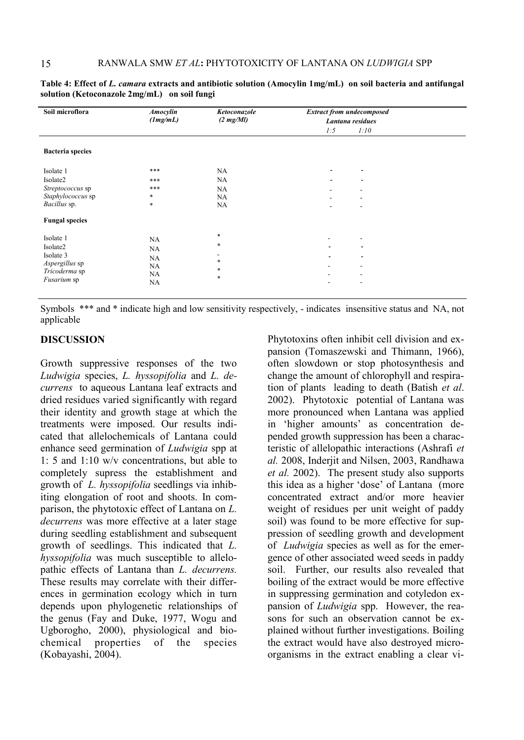| Soil microflora         | <b>Amocylin</b><br>(Img/mL) | Ketoconazole<br>$(2 \text{ mg}/Ml)$ | <b>Extract from undecomposed</b><br>Lantana residues |                          |
|-------------------------|-----------------------------|-------------------------------------|------------------------------------------------------|--------------------------|
|                         |                             |                                     | 1:5                                                  | 1:10                     |
| <b>Bacteria</b> species |                             |                                     |                                                      |                          |
| Isolate 1               | $***$                       | NA                                  |                                                      | $\overline{\phantom{a}}$ |
| Isolate2                | ***                         | NA                                  | ۰                                                    | $\overline{\phantom{a}}$ |
| Streptococcus sp        | ***                         | NA                                  |                                                      |                          |
| Staphylococcus sp       | $\ast$                      | NA                                  |                                                      |                          |
| Bacillus sp.            | *                           | NA                                  |                                                      |                          |
| <b>Fungal species</b>   |                             |                                     |                                                      |                          |
| Isolate 1               | NA                          | $\ast$                              |                                                      |                          |
| Isolate2                | NA                          | $\ast$                              |                                                      | $\overline{\phantom{a}}$ |
| Isolate 3               | NA                          |                                     | $\blacksquare$                                       | $\overline{\phantom{a}}$ |
| Aspergillus sp          | NA                          | $\ast$                              |                                                      |                          |
| Tricoderma sp           | NA                          | $\ast$                              |                                                      |                          |
| Fusarium sp             | <b>NA</b>                   | $\ast$                              | ۰                                                    | $\overline{\phantom{a}}$ |

**Table 4: Effect of** *L. camara* **extracts and antibiotic solution (Amocylin 1mg/mL) on soil bacteria and antifungal solution (Ketoconazole 2mg/mL) on soil fungi** 

Symbols \*\*\* and \* indicate high and low sensitivity respectively, - indicates insensitive status and NA, not applicable

# **DISCUSSION**

Growth suppressive responses of the two *Ludwigia* species, *L. hyssopifolia* and *L. decurrens* to aqueous Lantana leaf extracts and dried residues varied significantly with regard their identity and growth stage at which the treatments were imposed. Our results indicated that allelochemicals of Lantana could enhance seed germination of *Ludwigia* spp at 1: 5 and 1:10 w/v concentrations, but able to completely supress the establishment and growth of *L. hyssopifolia* seedlings via inhibiting elongation of root and shoots. In comparison, the phytotoxic effect of Lantana on *L. decurrens* was more effective at a later stage during seedling establishment and subsequent growth of seedlings. This indicated that *L. hyssopifolia* was much susceptible to allelopathic effects of Lantana than *L. decurrens.*  These results may correlate with their differences in germination ecology which in turn depends upon phylogenetic relationships of the genus (Fay and Duke, 1977, Wogu and Ugborogho, 2000), physiological and biochemical properties of the species (Kobayashi, 2004).

Phytotoxins often inhibit cell division and expansion (Tomaszewski and Thimann, 1966), often slowdown or stop photosynthesis and change the amount of chlorophyll and respiration of plants leading to death (Batish *et al*. 2002). Phytotoxic potential of Lantana was more pronounced when Lantana was applied in 'higher amounts' as concentration depended growth suppression has been a characteristic of allelopathic interactions (Ashrafi *et al.* 2008, Inderjit and Nilsen, 2003, Randhawa *et al.* 2002). The present study also supports this idea as a higher 'dose' of Lantana (more concentrated extract and/or more heavier weight of residues per unit weight of paddy soil) was found to be more effective for suppression of seedling growth and development of *Ludwigia* species as well as for the emergence of other associated weed seeds in paddy soil. Further, our results also revealed that boiling of the extract would be more effective in suppressing germination and cotyledon expansion of *Ludwigia* spp. However, the reasons for such an observation cannot be explained without further investigations. Boiling the extract would have also destroyed microorganisms in the extract enabling a clear vi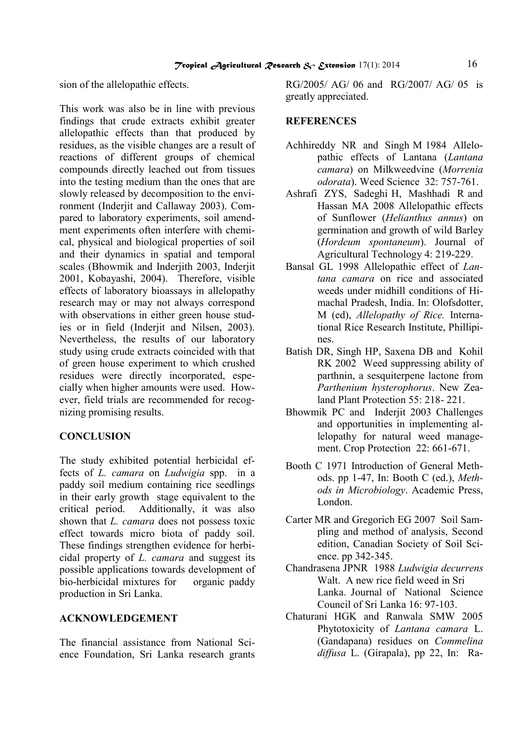sion of the allelopathic effects.

This work was also be in line with previous findings that crude extracts exhibit greater allelopathic effects than that produced by residues, as the visible changes are a result of reactions of different groups of chemical compounds directly leached out from tissues into the testing medium than the ones that are slowly released by decomposition to the environment (Inderjit and Callaway 2003). Compared to laboratory experiments, soil amendment experiments often interfere with chemical, physical and biological properties of soil and their dynamics in spatial and temporal scales (Bhowmik and Inderjith 2003, Inderjit 2001, Kobayashi, 2004). Therefore, visible effects of laboratory bioassays in allelopathy research may or may not always correspond with observations in either green house studies or in field (Inderjit and Nilsen, 2003). Nevertheless, the results of our laboratory study using crude extracts coincided with that of green house experiment to which crushed residues were directly incorporated, especially when higher amounts were used. However, field trials are recommended for recognizing promising results.

# **CONCLUSION**

The study exhibited potential herbicidal effects of *L. camara* on *Ludwigia* spp.in a paddy soil medium containing rice seedlings in their early growth stage equivalent to the critical period. Additionally, it was also shown that *L. camara* does not possess toxic effect towards micro biota of paddy soil. These findings strengthen evidence for herbicidal property of *L. camara* and suggest its possible applications towards development of bio-herbicidal mixtures for organic paddy production in Sri Lanka.

# **ACKNOWLEDGEMENT**

The financial assistance from National Science Foundation, Sri Lanka research grants RG/2005/ AG/ 06 and RG/2007/ AG/ 05 is greatly appreciated.

### **REFERENCES**

- Achhireddy NR and Singh M 1984 Allelopathic effects of Lantana (*Lantana camara*) on Milkweedvine (*Morrenia odorata*). Weed Science 32: 757-761.
- Ashrafi ZYS, Sadeghi H, Mashhadi R and Hassan MA 2008 Allelopathic effects of Sunflower (*Helianthus annus*) on germination and growth of wild Barley (*Hordeum spontaneum*). Journal of Agricultural Technology 4: 219-229.
- Bansal GL 1998 Allelopathic effect of *Lantana camara* on rice and associated weeds under midhill conditions of Himachal Pradesh, India. In: Olofsdotter, M (ed), *Allelopathy of Rice.* International Rice Research Institute, Phillipines.
- Batish DR, Singh HP, Saxena DB and Kohil RK 2002 Weed suppressing ability of parthnin, a sesquiterpene lactone from *Parthenium hysterophorus*. New Zealand Plant Protection 55: 218- 221.
- Bhowmik PC and Inderjit 2003 Challenges and opportunities in implementing allelopathy for natural weed management. Crop Protection 22: 661-671.
- Booth C 1971 Introduction of General Methods. pp 1-47, In: Booth C (ed.), *Methods in Microbiology*. Academic Press, London.
- Carter MR and Gregorich EG 2007 Soil Sampling and method of analysis, Second edition, Canadian Society of Soil Science. pp 342-345.
- Chandrasena JPNR 1988 *Ludwigia decurrens* Walt. A new rice field weed in Sri Lanka. Journal of National Science Council of Sri Lanka 16: 97-103.
- Chaturani HGK and Ranwala SMW 2005 Phytotoxicity of *Lantana camara* L. (Gandapana) residues on *Commelina diffusa* L. (Girapala), pp 22, In: Ra-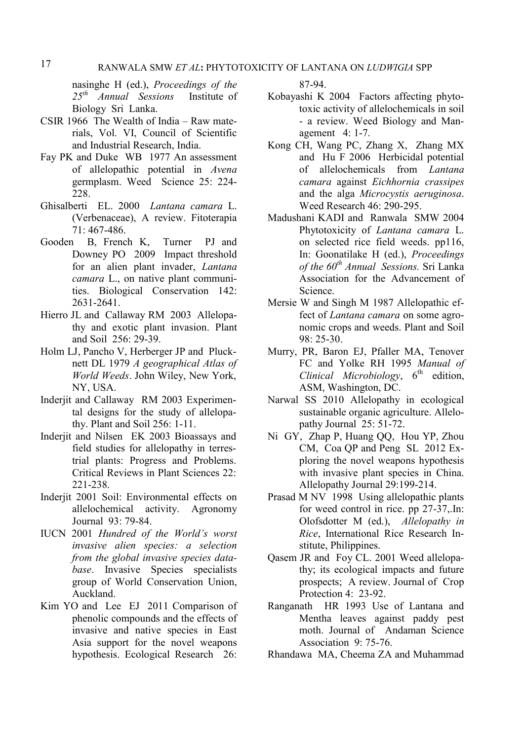nasinghe H (ed.), *Proceedings of the 25th Annual Sessions* Institute of Biology Sri Lanka.

- CSIR 1966 The Wealth of India Raw materials, Vol. VI, Council of Scientific and Industrial Research, India.
- Fay PK and Duke WB 1977 An assessment of allelopathic potential in *Avena* germplasm. Weed Science 25: 224- 228.
- Ghisalberti EL. 2000 *Lantana camara* L. (Verbenaceae), A review. Fitoterapia 71: 467-486.
- Gooden B, French K, Turner PJ and Downey PO 2009 Impact threshold for an alien plant invader, *Lantana camara* L., on native plant communities. Biological Conservation 142: 2631-2641.
- [Hierro](http://www.springerlink.com/content/?Author=Jos%c3%a9+L.+Hierro) JL and [Callaway](http://www.springerlink.com/content/?Author=Ragan+M.+Callaway) RM 2003 [Allelopa](http://www.springerlink.com/content/w5133v37q407227u/)[thy and exotic plant invasion.](http://www.springerlink.com/content/w5133v37q407227u/) [Plant](http://www.springerlink.com/content/0032-079x/)  [and Soil](http://www.springerlink.com/content/0032-079x/) [256:](http://www.springerlink.com/content/0032-079x/256/1/) 29-39.
- Holm LJ, Pancho V, Herberger JP and Plucknett DL 1979 *A geographical Atlas of World Weeds*. John Wiley, New York, NY, USA.
- Inderjit and Callaway RM 2003 Experimental designs for the study of allelopathy. Plant and Soil 256: 1-11.
- Inderjit and Nilsen EK 2003 Bioassays and field studies for allelopathy in terrestrial plants: Progress and Problems. Critical Reviews in Plant Sciences 22: 221-238.
- Inderjit 2001 Soil: Environmental effects on allelochemical activity. Agronomy Journal 93: 79-84.
- IUCN 2001 *Hundred of the World's worst invasive alien species: a selection from the global invasive species database*. Invasive Species specialists group of World Conservation Union, Auckland.
- Kim YO and Lee EJ 2011 Comparison of phenolic compounds and the effects of invasive and native species in East Asia support for the novel weapons hypothesis. Ecological Research 26:

87-94.

- Kobayashi K 2004 Factors affecting phytotoxic activity of allelochemicals in soil - a review. Weed Biology and Management4: 1-7.
- Kong CH, Wang PC, Zhang X, Zhang MX and Hu F 2006 Herbicidal potential of allelochemicals from *Lantana camara* against *Eichhornia crassipes* and the alga *Microcystis aeruginosa*. Weed Research 46: 290-295.
- Madushani KADI and Ranwala SMW 2004 Phytotoxicity of *Lantana camara* L. on selected rice field weeds. pp116, In: Goonatilake H (ed.), *Proceedings of the 60th Annual Sessions.* Sri Lanka Association for the Advancement of Science.
- Mersie W and Singh M 1987 Allelopathic effect of *Lantana camara* on some agronomic crops and weeds. Plant and Soil 98: 25-30.
- Murry, PR, Baron EJ, Pfaller MA, Tenover FC and Yolke RH 1995 *Manual of Clinical Microbiology*,  $6<sup>th</sup>$  edition, ASM, Washington, DC.
- Narwal SS 2010 Allelopathy in ecological sustainable organic agriculture. Allelopathy Journal 25: 51-72.
- Ni GY, Zhap P, Huang QQ, Hou YP, Zhou CM, Coa QP and Peng SL 2012 Exploring the novel weapons hypothesis with invasive plant species in China. Allelopathy Journal 29:199-214.
- Prasad M NV 1998 Using allelopathic plants for weed control in rice. pp 27-37,.In: Olofsdotter M (ed.), *Allelopathy in Rice*, International Rice Research Institute, Philippines.
- Qasem JR and Foy CL. 2001 Weed allelopathy; its ecological impacts and future prospects; A review. Journal of Crop Protection 4: 23-92.
- Ranganath HR 1993 Use of Lantana and Mentha leaves against paddy pest moth. Journal of Andaman Science Association 9: 75-76.
- Rhandawa MA, Cheema ZA and Muhammad